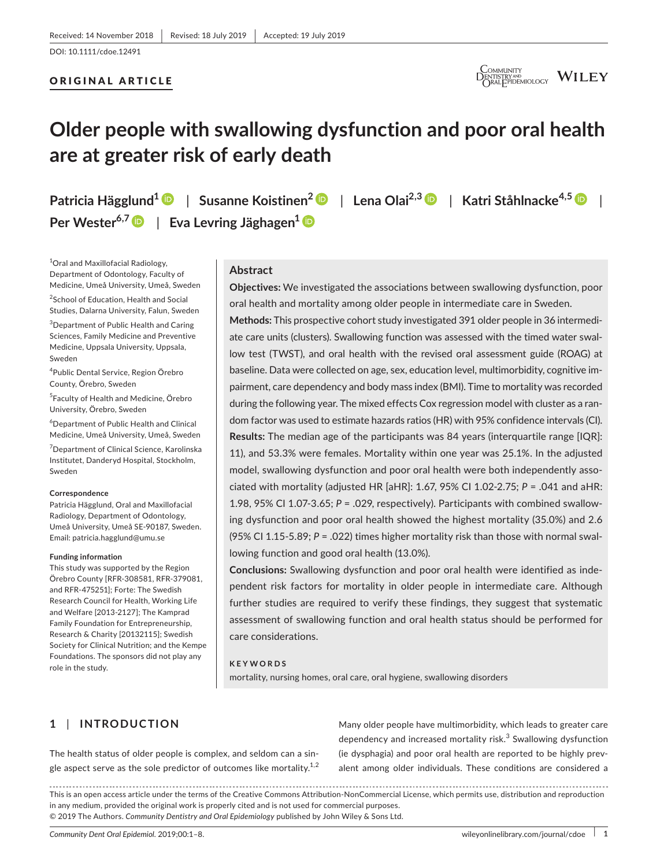#### ORIGINAL ARTICLE



## **Older people with swallowing dysfunction and poor oral health are at greater risk of early death**

**Patricia Hägglund1** | **Susanne Koistinen2** | **Lena Olai2,3** | **Katri Ståhlnacke4,5** |

**Per** Wester<sup>6,7</sup> D | Eva Levring Jäghagen<sup>1</sup> D

1 Oral and Maxillofacial Radiology, Department of Odontology, Faculty of Medicine, Umeå University, Umeå, Sweden

2 School of Education, Health and Social Studies, Dalarna University, Falun, Sweden

 $^3$ Department of Public Health and Caring Sciences, Family Medicine and Preventive Medicine, Uppsala University, Uppsala, Sweden

4 Public Dental Service, Region Örebro County, Örebro, Sweden

5 Faculty of Health and Medicine, Örebro University, Örebro, Sweden

6 Department of Public Health and Clinical Medicine, Umeå University, Umeå, Sweden

7 Department of Clinical Science, Karolinska Institutet, Danderyd Hospital, Stockholm, Sweden

#### **Correspondence**

Patricia Hägglund, Oral and Maxillofacial Radiology, Department of Odontology, Umeå University, Umeå SE‐90187, Sweden. Email: patricia.hagglund@umu.se

#### **Funding information**

This study was supported by the Region Örebro County [RFR‐308581, RFR‐379081, and RFR‐475251]; Forte: The Swedish Research Council for Health, Working Life and Welfare [2013‐2127]; The Kamprad Family Foundation for Entrepreneurship, Research & Charity [20132115]; Swedish Society for Clinical Nutrition; and the Kempe Foundations. The sponsors did not play any role in the study.

#### **Abstract**

**Objectives:** We investigated the associations between swallowing dysfunction, poor oral health and mortality among older people in intermediate care in Sweden.

**Methods:** This prospective cohort study investigated 391 older people in 36 intermedi‐ ate care units (clusters). Swallowing function was assessed with the timed water swal‐ low test (TWST), and oral health with the revised oral assessment guide (ROAG) at baseline. Data were collected on age, sex, education level, multimorbidity, cognitive im‐ pairment, care dependency and body mass index (BMI). Time to mortality was recorded during the following year. The mixed effects Cox regression model with cluster as a ran‐ dom factor was used to estimate hazards ratios (HR) with 95% confidence intervals (CI). **Results:** The median age of the participants was 84 years (interquartile range [IQR]: 11), and 53.3% were females. Mortality within one year was 25.1%. In the adjusted model, swallowing dysfunction and poor oral health were both independently associated with mortality (adjusted HR [aHR]: 1.67, 95% CI 1.02‐2.75; *P* = .041 and aHR: 1.98, 95% CI 1.07‐3.65; *P* = .029, respectively). Participants with combined swallow‐ ing dysfunction and poor oral health showed the highest mortality (35.0%) and 2.6 (95% CI 1.15‐5.89; *P* = .022) times higher mortality risk than those with normal swal‐ lowing function and good oral health (13.0%).

**Conclusions:** Swallowing dysfunction and poor oral health were identified as inde‐ pendent risk factors for mortality in older people in intermediate care. Although further studies are required to verify these findings, they suggest that systematic assessment of swallowing function and oral health status should be performed for care considerations.

#### **KEYWORDS**

mortality, nursing homes, oral care, oral hygiene, swallowing disorders

## **1** | **INTRODUCTION**

The health status of older people is complex, and seldom can a sin‐ gle aspect serve as the sole predictor of outcomes like mortality.<sup>1,2</sup> Many older people have multimorbidity, which leads to greater care dependency and increased mortality risk. $3$  Swallowing dysfunction (ie dysphagia) and poor oral health are reported to be highly prev‐ alent among older individuals. These conditions are considered a

This is an open access article under the terms of the Creative Commons Attribution‐NonCommercial License, which permits use, distribution and reproduction in any medium, provided the original work is properly cited and is not used for commercial purposes. © 2019 The Authors. *Community Dentistry and Oral Epidemiology* published by John Wiley & Sons Ltd.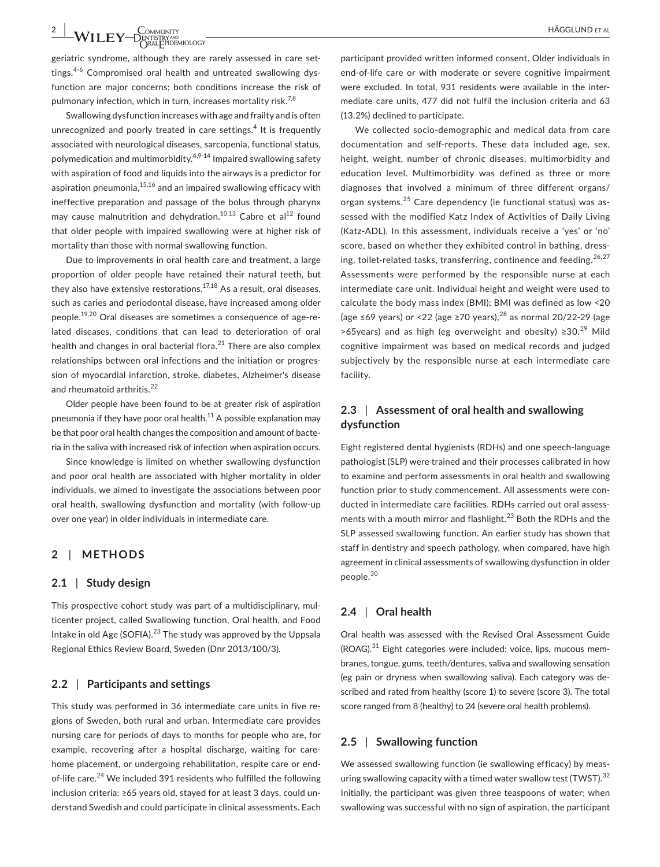**2 |**  HÄGGLUND et al

geriatric syndrome, although they are rarely assessed in care settings.<sup>4-6</sup> Compromised oral health and untreated swallowing dysfunction are major concerns; both conditions increase the risk of pulmonary infection, which in turn, increases mortality risk.<sup>7,8</sup>

Swallowing dysfunction increases with age and frailty and is often unrecognized and poorly treated in care settings.<sup>4</sup> It is frequently associated with neurological diseases, sarcopenia, functional status, polymedication and multimorbidity. $4,9-14$  Impaired swallowing safety with aspiration of food and liquids into the airways is a predictor for aspiration pneumonia,  $15,16$  and an impaired swallowing efficacy with ineffective preparation and passage of the bolus through pharynx may cause malnutrition and dehydration.<sup>10,13</sup> Cabre et al<sup>12</sup> found that older people with impaired swallowing were at higher risk of mortality than those with normal swallowing function.

Due to improvements in oral health care and treatment, a large proportion of older people have retained their natural teeth, but they also have extensive restorations.<sup>17,18</sup> As a result, oral diseases, such as caries and periodontal disease, have increased among older people.<sup>19,20</sup> Oral diseases are sometimes a consequence of age-related diseases, conditions that can lead to deterioration of oral health and changes in oral bacterial flora.<sup>21</sup> There are also complex relationships between oral infections and the initiation or progres‐ sion of myocardial infarction, stroke, diabetes, Alzheimer's disease and rheumatoid arthritis.<sup>22</sup>

Older people have been found to be at greater risk of aspiration pneumonia if they have poor oral health.<sup>11</sup> A possible explanation may be that poor oral health changes the composition and amount of bacte‐ ria in the saliva with increased risk of infection when aspiration occurs.

Since knowledge is limited on whether swallowing dysfunction and poor oral health are associated with higher mortality in older individuals, we aimed to investigate the associations between poor oral health, swallowing dysfunction and mortality (with follow‐up over one year) in older individuals in intermediate care.

#### **2** | **METHODS**

#### **2.1** | **Study design**

This prospective cohort study was part of a multidisciplinary, mul‐ ticenter project, called Swallowing function, Oral health, and Food Intake in old Age (SOFIA).<sup>23</sup> The study was approved by the Uppsala Regional Ethics Review Board, Sweden (Dnr 2013/100/3).

#### **2.2** | **Participants and settings**

This study was performed in 36 intermediate care units in five re‐ gions of Sweden, both rural and urban. Intermediate care provides nursing care for periods of days to months for people who are, for example, recovering after a hospital discharge, waiting for care‐ home placement, or undergoing rehabilitation, respite care or end‐ of-life care.<sup>24</sup> We included 391 residents who fulfilled the following inclusion criteria: ≥65 years old, stayed for at least 3 days, could un‐ derstand Swedish and could participate in clinical assessments. Each

participant provided written informed consent. Older individuals in end-of-life care or with moderate or severe cognitive impairment were excluded. In total, 931 residents were available in the inter‐ mediate care units, 477 did not fulfil the inclusion criteria and 63 (13.2%) declined to participate.

We collected socio-demographic and medical data from care documentation and self‐reports. These data included age, sex, height, weight, number of chronic diseases, multimorbidity and education level. Multimorbidity was defined as three or more diagnoses that involved a minimum of three different organs/ organ systems.<sup>25</sup> Care dependency (ie functional status) was as‐ sessed with the modified Katz Index of Activities of Daily Living (Katz‐ADL). In this assessment, individuals receive a 'yes' or 'no' score, based on whether they exhibited control in bathing, dressing, toilet-related tasks, transferring, continence and feeding.  $26,27$ Assessments were performed by the responsible nurse at each intermediate care unit. Individual height and weight were used to calculate the body mass index (BMI); BMI was defined as low <20 (age ≤69 years) or <22 (age ≥70 years),<sup>28</sup> as normal 20/22-29 (age >65years) and as high (eg overweight and obesity)  $\geq 30.29$  Mild cognitive impairment was based on medical records and judged subjectively by the responsible nurse at each intermediate care facility.

## **2.3** | **Assessment of oral health and swallowing dysfunction**

Eight registered dental hygienists (RDHs) and one speech‐language pathologist (SLP) were trained and their processes calibrated in how to examine and perform assessments in oral health and swallowing function prior to study commencement. All assessments were conducted in intermediate care facilities. RDHs carried out oral assess‐ ments with a mouth mirror and flashlight.<sup>23</sup> Both the RDHs and the SLP assessed swallowing function. An earlier study has shown that staff in dentistry and speech pathology, when compared, have high agreement in clinical assessments of swallowing dysfunction in older people.<sup>30</sup>

#### **2.4** | **Oral health**

Oral health was assessed with the Revised Oral Assessment Guide  $(ROAG).$ <sup>31</sup> Eight categories were included: voice, lips, mucous membranes, tongue, gums, teeth/dentures, saliva and swallowing sensation (eg pain or dryness when swallowing saliva). Each category was de‐ scribed and rated from healthy (score 1) to severe (score 3). The total score ranged from 8 (healthy) to 24 (severe oral health problems).

#### **2.5** | **Swallowing function**

We assessed swallowing function (ie swallowing efficacy) by measuring swallowing capacity with a timed water swallow test (TWST). $^{32}$ Initially, the participant was given three teaspoons of water; when swallowing was successful with no sign of aspiration, the participant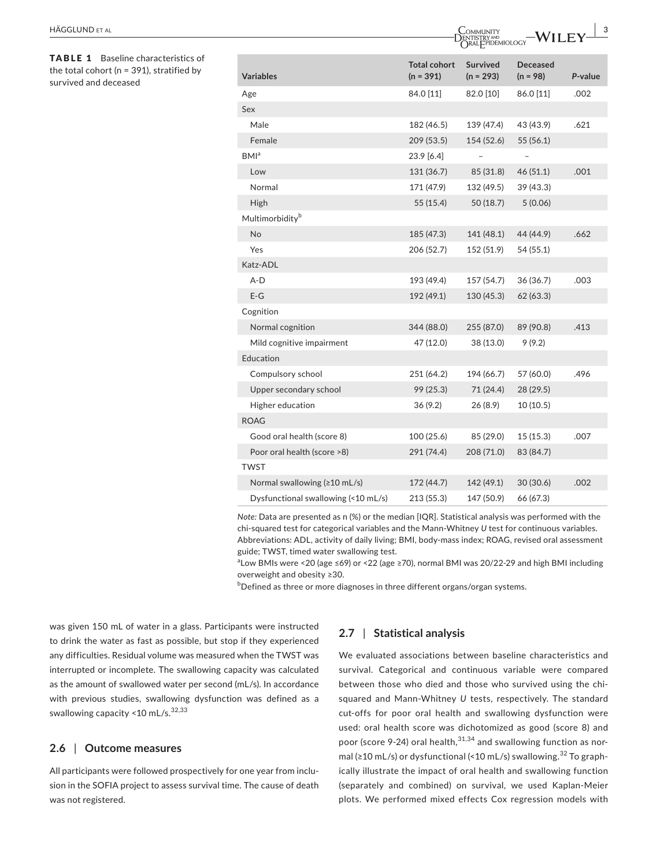TABLE 1 Baseline characteristics of the total cohort ( $n = 391$ ), stratified by survived and deceased

| <b>Variables</b>                       | <b>Total cohort</b><br>$(n = 391)$ | <b>Survived</b><br>$(n = 293)$ | <b>Deceased</b><br>$(n = 98)$ | P-value |
|----------------------------------------|------------------------------------|--------------------------------|-------------------------------|---------|
| Age                                    | 84.0 [11]                          | 82.0 [10]                      | 86.0 [11]                     | .002    |
| Sex                                    |                                    |                                |                               |         |
| Male                                   | 182 (46.5)                         | 139 (47.4)                     | 43 (43.9)                     | .621    |
| Female                                 | 209 (53.5)                         | 154 (52.6)                     | 55 (56.1)                     |         |
| BMI <sup>a</sup>                       | 23.9 [6.4]                         |                                |                               |         |
| Low                                    | 131 (36.7)                         | 85 (31.8)                      | 46(51.1)                      | .001    |
| Normal                                 | 171 (47.9)                         | 132 (49.5)                     | 39 (43.3)                     |         |
| High                                   | 55 (15.4)                          | 50(18.7)                       | 5(0.06)                       |         |
| Multimorbidity <sup>b</sup>            |                                    |                                |                               |         |
| No                                     | 185 (47.3)                         | 141 (48.1)                     | 44 (44.9)                     | .662    |
| Yes                                    | 206 (52.7)                         | 152 (51.9)                     | 54 (55.1)                     |         |
| Katz-ADL                               |                                    |                                |                               |         |
| A-D                                    | 193 (49.4)                         | 157 (54.7)                     | 36(36.7)                      | .003    |
| $E-G$                                  | 192 (49.1)                         | 130 (45.3)                     | 62(63.3)                      |         |
| Cognition                              |                                    |                                |                               |         |
| Normal cognition                       | 344 (88.0)                         | 255 (87.0)                     | 89 (90.8)                     | .413    |
| Mild cognitive impairment              | 47 (12.0)                          | 38 (13.0)                      | 9(9.2)                        |         |
| Education                              |                                    |                                |                               |         |
| Compulsory school                      | 251 (64.2)                         | 194 (66.7)                     | 57 (60.0)                     | .496    |
| Upper secondary school                 | 99 (25.3)                          | 71(24.4)                       | 28 (29.5)                     |         |
| Higher education                       | 36(9.2)                            | 26(8.9)                        | 10(10.5)                      |         |
| <b>ROAG</b>                            |                                    |                                |                               |         |
| Good oral health (score 8)             | 100(25.6)                          | 85 (29.0)                      | 15(15.3)                      | .007    |
| Poor oral health (score >8)            | 291 (74.4)                         | 208 (71.0)                     | 83 (84.7)                     |         |
| <b>TWST</b>                            |                                    |                                |                               |         |
| Normal swallowing $(210 \text{ mL/s})$ | 172 (44.7)                         | 142 (49.1)                     | 30(30.6)                      | .002    |
| Dysfunctional swallowing (<10 mL/s)    | 213 (55.3)                         | 147 (50.9)                     | 66 (67.3)                     |         |

*Note:* Data are presented as n (%) or the median [IQR]. Statistical analysis was performed with the chi-squared test for categorical variables and the Mann-Whitney *U* test for continuous variables. Abbreviations: ADL, activity of daily living; BMI, body‐mass index; ROAG, revised oral assessment guide; TWST, timed water swallowing test.

a Low BMIs were <20 (age ≤69) or <22 (age ≥70), normal BMI was 20/22‐29 and high BMI including overweight and obesity ≥30.

 $^{\rm b}$ Defined as three or more diagnoses in three different organs/organ systems.

was given 150 mL of water in a glass. Participants were instructed to drink the water as fast as possible, but stop if they experienced any difficulties. Residual volume was measured when the TWST was interrupted or incomplete. The swallowing capacity was calculated as the amount of swallowed water per second (mL/s). In accordance with previous studies, swallowing dysfunction was defined as a swallowing capacity <10 mL/s. $32,33$ 

#### **2.6** | **Outcome measures**

All participants were followed prospectively for one year from inclu‐ sion in the SOFIA project to assess survival time. The cause of death was not registered.

#### **2.7** | **Statistical analysis**

We evaluated associations between baseline characteristics and survival. Categorical and continuous variable were compared between those who died and those who survived using the chi‐ squared and Mann‐Whitney *U* tests, respectively. The standard cut-offs for poor oral health and swallowing dysfunction were used: oral health score was dichotomized as good (score 8) and poor (score 9-24) oral health,  $31,34$  and swallowing function as normal (≥10 mL/s) or dysfunctional (<10 mL/s) swallowing.<sup>32</sup> To graphically illustrate the impact of oral health and swallowing function (separately and combined) on survival, we used Kaplan‐Meier plots. We performed mixed effects Cox regression models with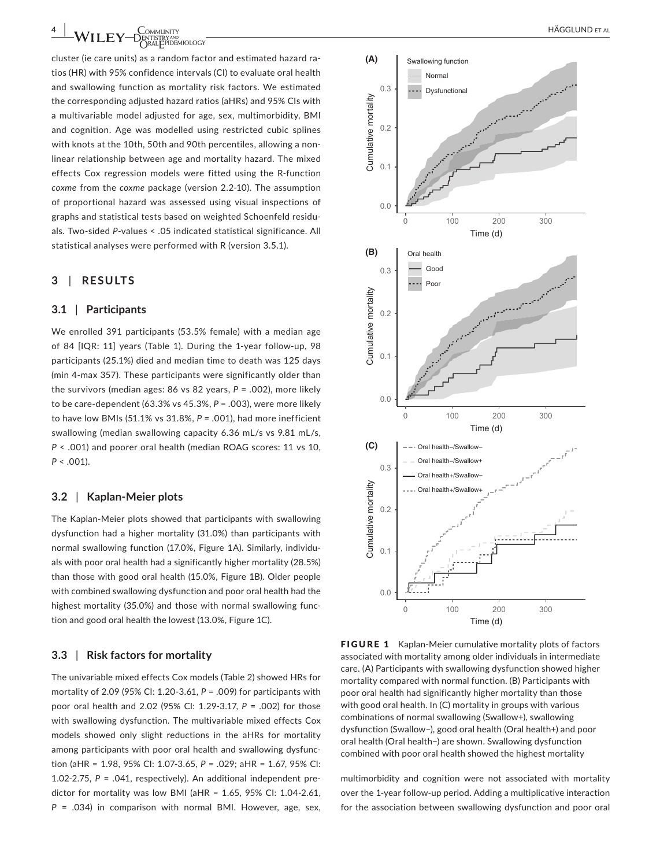**4 |**  HÄGGLUND et al

cluster (ie care units) as a random factor and estimated hazard ra‐ tios (HR) with 95% confidence intervals (CI) to evaluate oral health and swallowing function as mortality risk factors. We estimated the corresponding adjusted hazard ratios (aHRs) and 95% CIs with a multivariable model adjusted for age, sex, multimorbidity, BMI and cognition. Age was modelled using restricted cubic splines with knots at the 10th, 50th and 90th percentiles, allowing a nonlinear relationship between age and mortality hazard. The mixed effects Cox regression models were fitted using the R‐function *coxme* from the *coxme* package (version 2.2‐10). The assumption of proportional hazard was assessed using visual inspections of graphs and statistical tests based on weighted Schoenfeld residu‐ als. Two‐sided *P*‐values < .05 indicated statistical significance. All statistical analyses were performed with R (version 3.5.1).

#### **3** | **RESULTS**

#### **3.1** | **Participants**

We enrolled 391 participants (53.5% female) with a median age of 84 [IQR: 11] years (Table 1). During the 1‐year follow‐up, 98 participants (25.1%) died and median time to death was 125 days (min 4‐max 357). These participants were significantly older than the survivors (median ages: 86 vs 82 years, *P* = .002), more likely to be care‐dependent (63.3% vs 45.3%, *P* = .003), were more likely to have low BMIs (51.1% vs 31.8%, *P =* .001), had more inefficient swallowing (median swallowing capacity 6.36 mL/s vs 9.81 mL/s, *P* < .001) and poorer oral health (median ROAG scores: 11 vs 10, *P* < .001).

#### **3.2** | **Kaplan‐Meier plots**

The Kaplan‐Meier plots showed that participants with swallowing dysfunction had a higher mortality (31.0%) than participants with normal swallowing function (17.0%, Figure 1A). Similarly, individu‐ als with poor oral health had a significantly higher mortality (28.5%) than those with good oral health (15.0%, Figure 1B). Older people with combined swallowing dysfunction and poor oral health had the highest mortality (35.0%) and those with normal swallowing func‐ tion and good oral health the lowest (13.0%, Figure 1C).

#### **3.3** | **Risk factors for mortality**

The univariable mixed effects Cox models (Table 2) showed HRs for mortality of 2.09 (95% CI: 1.20‐3.61, *P* = .009) for participants with poor oral health and 2.02 (95% CI: 1.29‐3.17, *P* = .002) for those with swallowing dysfunction. The multivariable mixed effects Cox models showed only slight reductions in the aHRs for mortality among participants with poor oral health and swallowing dysfunc‐ tion (aHR = 1.98, 95% CI: 1.07‐3.65, *P* = .029; aHR = 1.67, 95% CI: 1.02‐2.75, *P* = .041, respectively). An additional independent pre‐ dictor for mortality was low BMI (aHR = 1.65, 95% CI: 1.04‐2.61, *P* = .034) in comparison with normal BMI. However, age, sex,



FIGURE 1 Kaplan-Meier cumulative mortality plots of factors associated with mortality among older individuals in intermediate care. (A) Participants with swallowing dysfunction showed higher mortality compared with normal function. (B) Participants with poor oral health had significantly higher mortality than those with good oral health. In (C) mortality in groups with various combinations of normal swallowing (Swallow+), swallowing dysfunction (Swallow−), good oral health (Oral health+) and poor oral health (Oral health−) are shown. Swallowing dysfunction combined with poor oral health showed the highest mortality

multimorbidity and cognition were not associated with mortality over the 1‐year follow‐up period. Adding a multiplicative interaction for the association between swallowing dysfunction and poor oral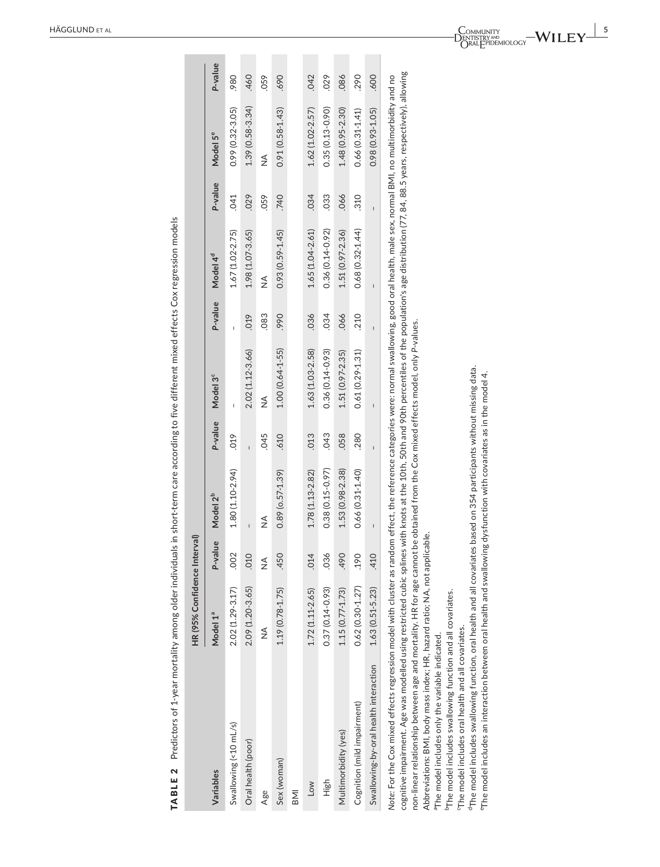| TABLE 2 Predictors of 1-year mortality among older individuals in short-term care according to five different mixed effects Cox regression models                                                                                                                                                                                                                                                                                                                                                                                                                                                                                                                                                                                                                                                                                                                                                                                                                                                                         |                              |               |                                                              |                |                                                                                                                                                                                                                                                                                                                                                                                  |                |                      |                |                      |         |
|---------------------------------------------------------------------------------------------------------------------------------------------------------------------------------------------------------------------------------------------------------------------------------------------------------------------------------------------------------------------------------------------------------------------------------------------------------------------------------------------------------------------------------------------------------------------------------------------------------------------------------------------------------------------------------------------------------------------------------------------------------------------------------------------------------------------------------------------------------------------------------------------------------------------------------------------------------------------------------------------------------------------------|------------------------------|---------------|--------------------------------------------------------------|----------------|----------------------------------------------------------------------------------------------------------------------------------------------------------------------------------------------------------------------------------------------------------------------------------------------------------------------------------------------------------------------------------|----------------|----------------------|----------------|----------------------|---------|
|                                                                                                                                                                                                                                                                                                                                                                                                                                                                                                                                                                                                                                                                                                                                                                                                                                                                                                                                                                                                                           | HR (95% Confidence Interval) |               |                                                              |                |                                                                                                                                                                                                                                                                                                                                                                                  |                |                      |                |                      |         |
| Variables                                                                                                                                                                                                                                                                                                                                                                                                                                                                                                                                                                                                                                                                                                                                                                                                                                                                                                                                                                                                                 | Model 1ª                     | P-value       | Model 2 <sup>b</sup>                                         | P-value        | Model 3 <sup>c</sup>                                                                                                                                                                                                                                                                                                                                                             | P-value        | Model 4 <sup>d</sup> | P-value        | Model 5 <sup>e</sup> | P-value |
| Swallowing (<10 mL/s)                                                                                                                                                                                                                                                                                                                                                                                                                                                                                                                                                                                                                                                                                                                                                                                                                                                                                                                                                                                                     | $2.02(1.29 - 3.17)$          | .002          | 1.80 (1.10-2.94)                                             | 019            | $\overline{\phantom{a}}$                                                                                                                                                                                                                                                                                                                                                         | $\overline{1}$ | $1.67(1.02 - 2.75)$  | 041            | $0.99(0.32 - 3.05)$  | .980    |
| Oral health (poor)                                                                                                                                                                                                                                                                                                                                                                                                                                                                                                                                                                                                                                                                                                                                                                                                                                                                                                                                                                                                        | 2.09 (1.20-3.65)             | .010          | $\mathbf{I}$                                                 | $\mathbf{I}$   | $2.02(1.12 - 3.66)$                                                                                                                                                                                                                                                                                                                                                              | .019           | $1.98(1.07 - 3.65)$  | 029            | $1.39(0.58 - 3.34)$  | .460    |
| Age                                                                                                                                                                                                                                                                                                                                                                                                                                                                                                                                                                                                                                                                                                                                                                                                                                                                                                                                                                                                                       | $\frac{1}{2}$                | $\frac{1}{2}$ | $\frac{1}{2}$                                                | .045           | ≸                                                                                                                                                                                                                                                                                                                                                                                | .083           | $\frac{1}{2}$        | .059           | $\frac{1}{2}$        | .059    |
| Sex (woman)                                                                                                                                                                                                                                                                                                                                                                                                                                                                                                                                                                                                                                                                                                                                                                                                                                                                                                                                                                                                               | $1.19(0.78 - 1.75)$          | .450          | $0.89$ ( $0.57 - 1.39$ )                                     | .610           | $1.00(0.64 - 1.55)$                                                                                                                                                                                                                                                                                                                                                              | .990           | $0.93(0.59 - 1.45)$  | 740            | $0.91(0.58 - 1.43)$  | .690    |
| <b>INB</b>                                                                                                                                                                                                                                                                                                                                                                                                                                                                                                                                                                                                                                                                                                                                                                                                                                                                                                                                                                                                                |                              |               |                                                              |                |                                                                                                                                                                                                                                                                                                                                                                                  |                |                      |                |                      |         |
| Low                                                                                                                                                                                                                                                                                                                                                                                                                                                                                                                                                                                                                                                                                                                                                                                                                                                                                                                                                                                                                       | 1.72 (1.11-2.65)             | .014          | 1.78 (1.13-2.82)                                             | .013           | $1.63(1.03 - 2.58)$                                                                                                                                                                                                                                                                                                                                                              | .036           | $1.65(1.04 - 2.61)$  | .034           | 1.62 (1.02-2.57)     | .042    |
| High                                                                                                                                                                                                                                                                                                                                                                                                                                                                                                                                                                                                                                                                                                                                                                                                                                                                                                                                                                                                                      | $0.37(0.14 - 0.93)$          | .036          | $0.38(0.15 - 0.97)$                                          | .043           | $0.36(0.14 - 0.93)$                                                                                                                                                                                                                                                                                                                                                              | .034           | $0.36(0.14 - 0.92)$  | .033           | $0.35(0.13 - 0.90)$  | .029    |
| Multimorbidity (yes)                                                                                                                                                                                                                                                                                                                                                                                                                                                                                                                                                                                                                                                                                                                                                                                                                                                                                                                                                                                                      | 1.15 (0.77-1.73)             | .490          | $1.53(0.98 - 2.38)$                                          | .058           | $1.51(0.97 - 2.35)$                                                                                                                                                                                                                                                                                                                                                              | .066           | $1.51(0.97 - 2.36)$  | .066           | 1.48 (0.95-2.30)     | .086    |
| Cognition (mild impairment)                                                                                                                                                                                                                                                                                                                                                                                                                                                                                                                                                                                                                                                                                                                                                                                                                                                                                                                                                                                               | $0.62(0.30 - 1.27)$          | .190          | $0.66(0.31 - 1.40)$                                          | .280           | $0.61(0.29 - 1.31)$                                                                                                                                                                                                                                                                                                                                                              | .210           | $0.68(0.32 - 1.44)$  | .310           | $0.66(0.31 - 1.41)$  | .290    |
| Swallowing-by-oral health interaction                                                                                                                                                                                                                                                                                                                                                                                                                                                                                                                                                                                                                                                                                                                                                                                                                                                                                                                                                                                     | $1.63(0.51 - 5.23)$          | .410          | $\begin{array}{c} \hline \end{array}$                        | $\overline{1}$ | $\begin{array}{c} \rule{0pt}{2.5ex} \rule{0pt}{2.5ex} \rule{0pt}{2.5ex} \rule{0pt}{2.5ex} \rule{0pt}{2.5ex} \rule{0pt}{2.5ex} \rule{0pt}{2.5ex} \rule{0pt}{2.5ex} \rule{0pt}{2.5ex} \rule{0pt}{2.5ex} \rule{0pt}{2.5ex} \rule{0pt}{2.5ex} \rule{0pt}{2.5ex} \rule{0pt}{2.5ex} \rule{0pt}{2.5ex} \rule{0pt}{2.5ex} \rule{0pt}{2.5ex} \rule{0pt}{2.5ex} \rule{0pt}{2.5ex} \rule{0$ | $\overline{1}$ | $\mathbf{I}$         | $\overline{1}$ | $0.98(0.93 - 1.05)$  | .600    |
| cognitive impairment. Age was modelled using restricted cubic splines with knots at the 10th, 50th and 90th percentiles of the population's age distribution (77, 84, 88.5 years, respectively), allowing<br>Note: For the Cox mixed effects regression model with cluster as random effect, the reference categories were: normal swallowing, good oral health, male sex, normal BMI, no multimorbidity and no<br>$^4$ The model includes swallowing function, oral health and all covariates based on 354 participants without missing data.<br>$^\circ$ The model includes an interaction between oral health and swallowing dysfunction with covariates as in the model 4.<br>Abbreviations: BMI, body mass index; HR, hazard ratio; NA, not applicable.<br>non-linear relationship between age and mortality. HR for age cannot<br><sup>b</sup> The model includes swallowing function and all covariates.<br>The model includes oral health and all covariates.<br>"The model includes only the variable indicated. |                              |               | be obtained from the Cox mixed effects model, only P-values. |                |                                                                                                                                                                                                                                                                                                                                                                                  |                |                      |                |                      |         |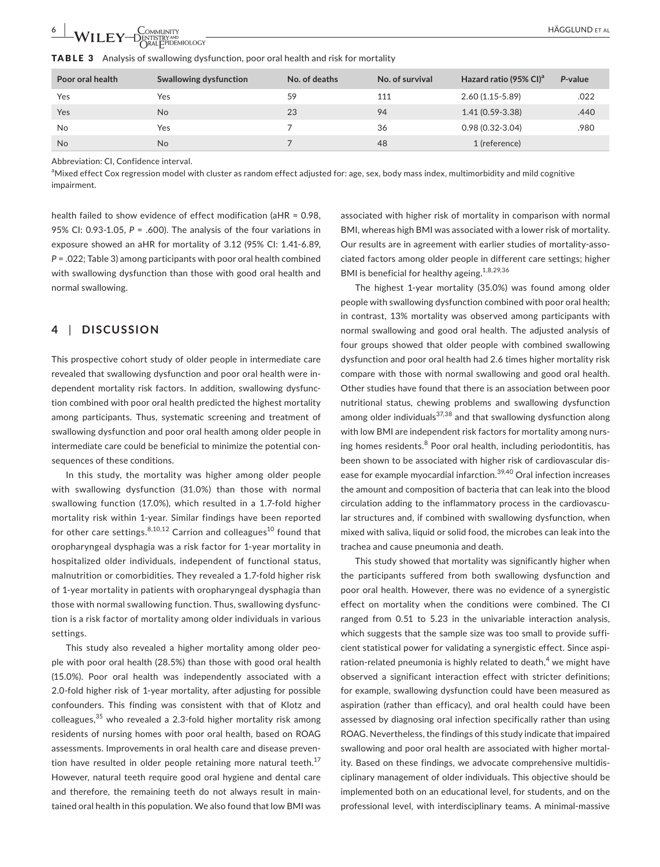| Poor oral health | Swallowing dysfunction | No. of deaths | No. of survival | Hazard ratio (95% CI) <sup>a</sup> | P-value |
|------------------|------------------------|---------------|-----------------|------------------------------------|---------|
| Yes              | Yes                    | 59            | 111             | $2.60(1.15-5.89)$                  | .022    |
| Yes              | <b>No</b>              | 23            | 94              | $1.41(0.59 - 3.38)$                | .440    |
| No               | Yes                    |               | 36              | $0.98(0.32-3.04)$                  | .980    |
| <b>No</b>        | <b>No</b>              |               | 48              | 1 (reference)                      |         |

Abbreviation: CI, Confidence interval.

a<br>Mixed effect Cox regression model with cluster as random effect adjusted for: age, sex, body mass index, multimorbidity and mild cognitive impairment.

health failed to show evidence of effect modification (aHR = 0.98, 95% CI: 0.93‐1.05, *P* = .600). The analysis of the four variations in exposure showed an aHR for mortality of 3.12 (95% CI: 1.41‐6.89, *P* = .022; Table 3) among participants with poor oral health combined with swallowing dysfunction than those with good oral health and normal swallowing.

## **4** | **DISCUSSION**

This prospective cohort study of older people in intermediate care revealed that swallowing dysfunction and poor oral health were in‐ dependent mortality risk factors. In addition, swallowing dysfunc‐ tion combined with poor oral health predicted the highest mortality among participants. Thus, systematic screening and treatment of swallowing dysfunction and poor oral health among older people in intermediate care could be beneficial to minimize the potential consequences of these conditions.

In this study, the mortality was higher among older people with swallowing dysfunction (31.0%) than those with normal swallowing function (17.0%), which resulted in a 1.7‐fold higher mortality risk within 1‐year. Similar findings have been reported for other care settings. $8,10,12$  Carrion and colleagues<sup>10</sup> found that oropharyngeal dysphagia was a risk factor for 1‐year mortality in hospitalized older individuals, independent of functional status, malnutrition or comorbidities. They revealed a 1.7‐fold higher risk of 1-year mortality in patients with oropharyngeal dysphagia than those with normal swallowing function. Thus, swallowing dysfunc‐ tion is a risk factor of mortality among older individuals in various settings.

This study also revealed a higher mortality among older peo‐ ple with poor oral health (28.5%) than those with good oral health (15.0%). Poor oral health was independently associated with a 2.0‐fold higher risk of 1‐year mortality, after adjusting for possible confounders. This finding was consistent with that of Klotz and colleagues, $35$  who revealed a 2.3-fold higher mortality risk among residents of nursing homes with poor oral health, based on ROAG assessments. Improvements in oral health care and disease preven‐ tion have resulted in older people retaining more natural teeth. $17$ However, natural teeth require good oral hygiene and dental care and therefore, the remaining teeth do not always result in main‐ tained oral health in this population. We also found that low BMI was associated with higher risk of mortality in comparison with normal BMI, whereas high BMI was associated with a lower risk of mortality. Our results are in agreement with earlier studies of mortality-associated factors among older people in different care settings; higher BMI is beneficial for healthy ageing.<sup>1,8,29,36</sup>

The highest 1‐year mortality (35.0%) was found among older people with swallowing dysfunction combined with poor oral health; in contrast, 13% mortality was observed among participants with normal swallowing and good oral health. The adjusted analysis of four groups showed that older people with combined swallowing dysfunction and poor oral health had 2.6 times higher mortality risk compare with those with normal swallowing and good oral health. Other studies have found that there is an association between poor nutritional status, chewing problems and swallowing dysfunction among older individuals<sup>37,38</sup> and that swallowing dysfunction along with low BMI are independent risk factors for mortality among nursing homes residents. $8$  Poor oral health, including periodontitis, has been shown to be associated with higher risk of cardiovascular dis‐ ease for example myocardial infarction.<sup>39,40</sup> Oral infection increases the amount and composition of bacteria that can leak into the blood circulation adding to the inflammatory process in the cardiovascu‐ lar structures and, if combined with swallowing dysfunction, when mixed with saliva, liquid or solid food, the microbes can leak into the trachea and cause pneumonia and death.

This study showed that mortality was significantly higher when the participants suffered from both swallowing dysfunction and poor oral health. However, there was no evidence of a synergistic effect on mortality when the conditions were combined. The CI ranged from 0.51 to 5.23 in the univariable interaction analysis, which suggests that the sample size was too small to provide sufficient statistical power for validating a synergistic effect. Since aspi‐ ration-related pneumonia is highly related to death, $4$  we might have observed a significant interaction effect with stricter definitions; for example, swallowing dysfunction could have been measured as aspiration (rather than efficacy), and oral health could have been assessed by diagnosing oral infection specifically rather than using ROAG. Nevertheless, the findings of this study indicate that impaired swallowing and poor oral health are associated with higher mortal‐ ity. Based on these findings, we advocate comprehensive multidis‐ ciplinary management of older individuals. This objective should be implemented both on an educational level, for students, and on the professional level, with interdisciplinary teams. A minimal‐massive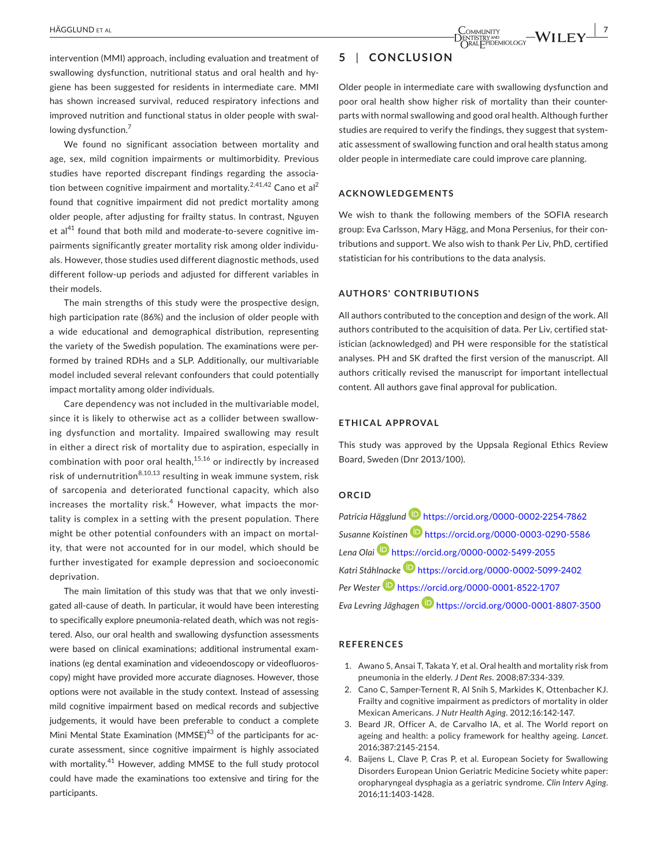intervention (MMI) approach, including evaluation and treatment of swallowing dysfunction, nutritional status and oral health and hygiene has been suggested for residents in intermediate care. MMI has shown increased survival, reduced respiratory infections and improved nutrition and functional status in older people with swallowing dysfunction.<sup>7</sup>

We found no significant association between mortality and age, sex, mild cognition impairments or multimorbidity. Previous studies have reported discrepant findings regarding the associa‐ tion between cognitive impairment and mortality.<sup>2,41,42</sup> Cano et al<sup>2</sup> found that cognitive impairment did not predict mortality among older people, after adjusting for frailty status. In contrast, Nguyen et al<sup>41</sup> found that both mild and moderate-to-severe cognitive impairments significantly greater mortality risk among older individu‐ als. However, those studies used different diagnostic methods, used different follow‐up periods and adjusted for different variables in their models.

The main strengths of this study were the prospective design, high participation rate (86%) and the inclusion of older people with a wide educational and demographical distribution, representing the variety of the Swedish population. The examinations were per‐ formed by trained RDHs and a SLP. Additionally, our multivariable model included several relevant confounders that could potentially impact mortality among older individuals.

Care dependency was not included in the multivariable model, since it is likely to otherwise act as a collider between swallowing dysfunction and mortality. Impaired swallowing may result in either a direct risk of mortality due to aspiration, especially in combination with poor oral health, $15,16$  or indirectly by increased risk of undernutrition $8,10,13$  resulting in weak immune system, risk of sarcopenia and deteriorated functional capacity, which also increases the mortality risk. $4$  However, what impacts the mortality is complex in a setting with the present population. There might be other potential confounders with an impact on mortal‐ ity, that were not accounted for in our model, which should be further investigated for example depression and socioeconomic deprivation.

The main limitation of this study was that that we only investi‐ gated all-cause of death. In particular, it would have been interesting to specifically explore pneumonia‐related death, which was not regis‐ tered. Also, our oral health and swallowing dysfunction assessments were based on clinical examinations; additional instrumental examinations (eg dental examination and videoendoscopy or videofluoros‐ copy) might have provided more accurate diagnoses. However, those options were not available in the study context. Instead of assessing mild cognitive impairment based on medical records and subjective judgements, it would have been preferable to conduct a complete Mini Mental State Examination (MMSE) $43$  of the participants for accurate assessment, since cognitive impairment is highly associated with mortality.<sup>41</sup> However, adding MMSE to the full study protocol could have made the examinations too extensive and tiring for the participants.

## **5** | **CONCLUSION**

Older people in intermediate care with swallowing dysfunction and poor oral health show higher risk of mortality than their counter‐ parts with normal swallowing and good oral health. Although further studies are required to verify the findings, they suggest that system‐ atic assessment of swallowing function and oral health status among older people in intermediate care could improve care planning.

#### **ACKNOWLEDGEMENTS**

We wish to thank the following members of the SOFIA research group: Eva Carlsson, Mary Hägg, and Mona Persenius, for their con‐ tributions and support. We also wish to thank Per Liv, PhD, certified statistician for his contributions to the data analysis.

#### **AUTHORS' CONTRIBUTIONS**

All authors contributed to the conception and design of the work. All authors contributed to the acquisition of data. Per Liv, certified statistician (acknowledged) and PH were responsible for the statistical analyses. PH and SK drafted the first version of the manuscript. All authors critically revised the manuscript for important intellectual content. All authors gave final approval for publication.

#### **ETHICAL APPROVAL**

This study was approved by the Uppsala Regional Ethics Review Board, Sweden (Dnr 2013/100).

#### **ORCID**

*Patricia Hägglund* https://orcid.org/0000-0002-2254-7862 *Susanne Koistinen* https://orcid.org/0000-0003-0290-5586 *Lena Olai* https://orcid.org/0000-0002-5499-2055 *Katri Ståhlnacke* https://orcid.org/0000-0002-5099-2402 *Per Wester* https://orcid.org/0000-0001-8522-1707 *Eva Levring Jäghagen* https://orcid.org/0000-0001-8807-3500

#### **REFERENCES**

- 1. Awano S, Ansai T, Takata Y, et al. Oral health and mortality risk from pneumonia in the elderly. *J Dent Res*. 2008;87:334‐339.
- 2. Cano C, Samper-Ternent R, Al Snih S, Markides K, Ottenbacher KJ. Frailty and cognitive impairment as predictors of mortality in older Mexican Americans. *J Nutr Health Aging*. 2012;16:142‐147.
- 3. Beard JR, Officer A, de Carvalho IA, et al. The World report on ageing and health: a policy framework for healthy ageing. *Lancet*. 2016;387:2145‐2154.
- 4. Baijens L, Clave P, Cras P, et al. European Society for Swallowing Disorders European Union Geriatric Medicine Society white paper: oropharyngeal dysphagia as a geriatric syndrome. *Clin Interv Aging*. 2016;11:1403‐1428.